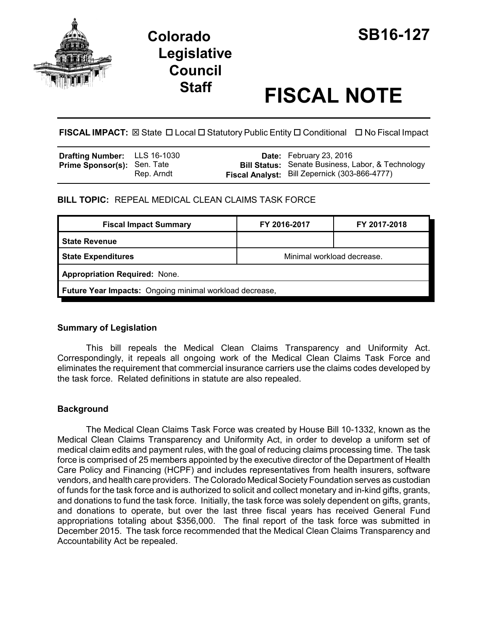

## **Colorado SB16-127 Legislative Council**

# **Staff FISCAL NOTE**

**FISCAL IMPACT:** ⊠ State □ Local □ Statutory Public Entity □ Conditional □ No Fiscal Impact

| <b>Drafting Number:</b> LLS 16-1030 |            | <b>Date:</b> February 23, 2016                           |
|-------------------------------------|------------|----------------------------------------------------------|
| <b>Prime Sponsor(s): Sen. Tate</b>  |            | <b>Bill Status:</b> Senate Business, Labor, & Technology |
|                                     | Rep. Arndt | Fiscal Analyst: Bill Zepernick (303-866-4777)            |

**BILL TOPIC:** REPEAL MEDICAL CLEAN CLAIMS TASK FORCE

| <b>Fiscal Impact Summary</b>                            | FY 2016-2017 | FY 2017-2018               |  |  |  |
|---------------------------------------------------------|--------------|----------------------------|--|--|--|
| <b>State Revenue</b>                                    |              |                            |  |  |  |
| <b>State Expenditures</b>                               |              | Minimal workload decrease. |  |  |  |
| <b>Appropriation Required: None.</b>                    |              |                            |  |  |  |
| Future Year Impacts: Ongoing minimal workload decrease, |              |                            |  |  |  |

#### **Summary of Legislation**

This bill repeals the Medical Clean Claims Transparency and Uniformity Act. Correspondingly, it repeals all ongoing work of the Medical Clean Claims Task Force and eliminates the requirement that commercial insurance carriers use the claims codes developed by the task force. Related definitions in statute are also repealed.

### **Background**

The Medical Clean Claims Task Force was created by House Bill 10-1332, known as the Medical Clean Claims Transparency and Uniformity Act, in order to develop a uniform set of medical claim edits and payment rules, with the goal of reducing claims processing time. The task force is comprised of 25 members appointed by the executive director of the Department of Health Care Policy and Financing (HCPF) and includes representatives from health insurers, software vendors, and health care providers. The Colorado Medical Society Foundation serves as custodian of funds for the task force and is authorized to solicit and collect monetary and in-kind gifts, grants, and donations to fund the task force. Initially, the task force was solely dependent on gifts, grants, and donations to operate, but over the last three fiscal years has received General Fund appropriations totaling about \$356,000. The final report of the task force was submitted in December 2015. The task force recommended that the Medical Clean Claims Transparency and Accountability Act be repealed.